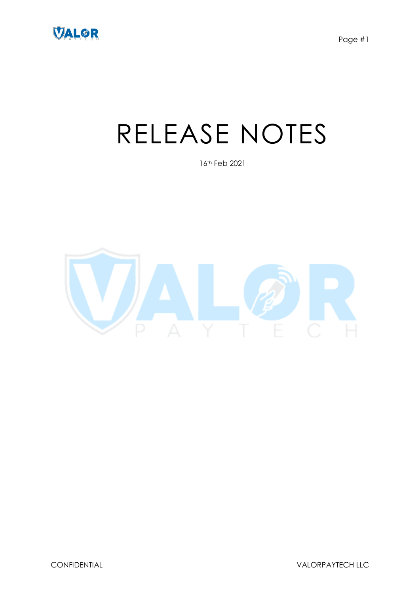

# RELEASE NOTES

16th Feb 2021

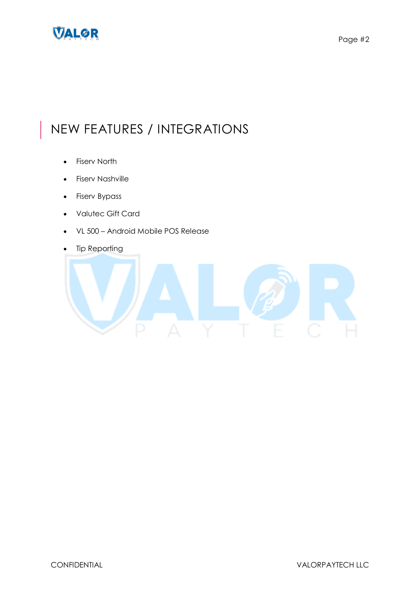

## NEW FEATURES / INTEGRATIONS

- Fiserv North
- **•** Fiserv Nashville
- Fiserv Bypass
- Valutec Gift Card
- VL 500 Android Mobile POS Release
- Tip Reporting